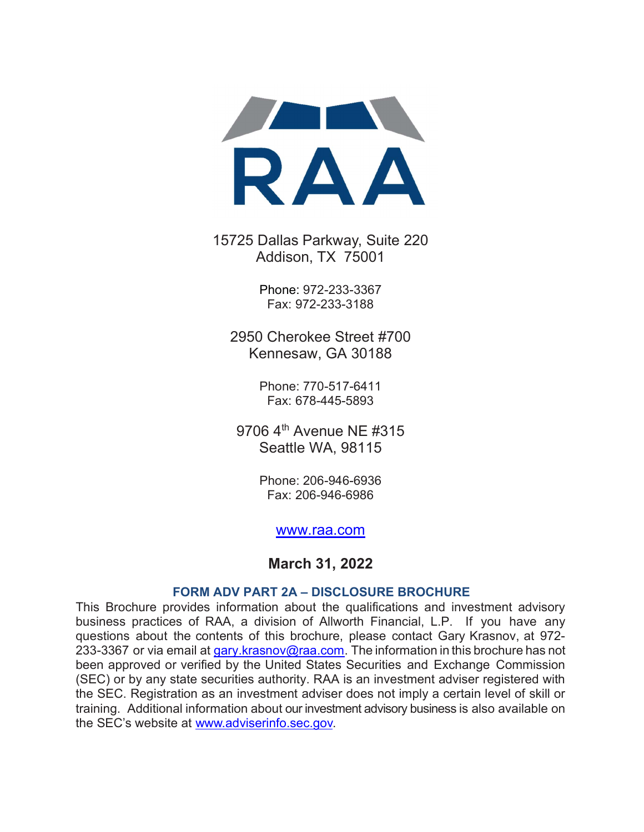

15725 Dallas Parkway, Suite 220 Addison, TX 75001

> Phone: 972-233-3367 Fax: 972-233-3188

2950 Cherokee Street #700 Kennesaw, GA 30188

> Phone: 770-517-6411 Fax: 678-445-5893

9706 4<sup>th</sup> Avenue NF #315 Seattle WA, 98115

> Phone: 206-946-6936 Fax: 206-946-6986

#### www.raa.com

#### March 31, 2022

#### FORM ADV PART 2A – DISCLOSURE BROCHURE

This Brochure provides information about the qualifications and investment advisory business practices of RAA, a division of Allworth Financial, L.P. If you have any questions about the contents of this brochure, please contact Gary Krasnov, at 972- 233-3367 or via email at gary. krasnov@raa.com. The information in this brochure has not been approved or verified by the United States Securities and Exchange Commission (SEC) or by any state securities authority. RAA is an investment adviser registered with the SEC. Registration as an investment adviser does not imply a certain level of skill or training. Additional information about our investment advisory business is also available on the SEC's website at www.adviserinfo.sec.gov.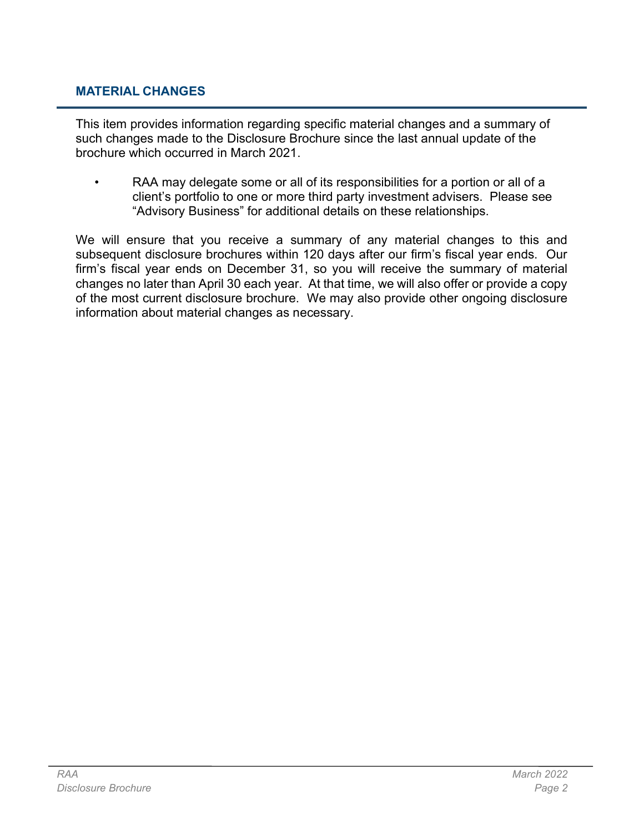### MATERIAL CHANGES

This item provides information regarding specific material changes and a summary of such changes made to the Disclosure Brochure since the last annual update of the brochure which occurred in March 2021.

RAA may delegate some or all of its responsibilities for a portion or all of a client's portfolio to one or more third party investment advisers. Please see "Advisory Business" for additional details on these relationships.

We will ensure that you receive a summary of any material changes to this and subsequent disclosure brochures within 120 days after our firm's fiscal year ends. Our firm's fiscal year ends on December 31, so you will receive the summary of material changes no later than April 30 each year. At that time, we will also offer or provide a copy of the most current disclosure brochure. We may also provide other ongoing disclosure information about material changes as necessary.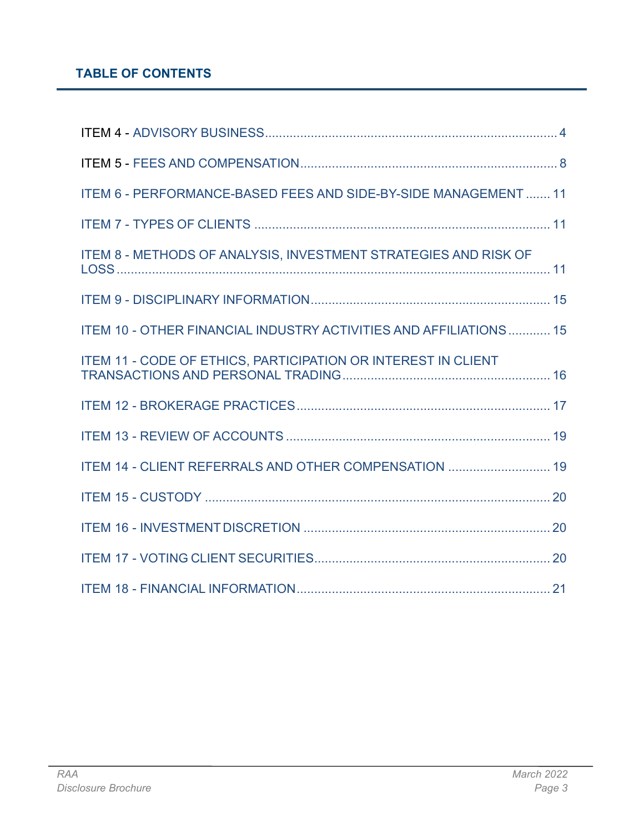# TABLE OF CONTENTS

| ITEM 6 - PERFORMANCE-BASED FEES AND SIDE-BY-SIDE MANAGEMENT  11   |  |
|-------------------------------------------------------------------|--|
|                                                                   |  |
| ITEM 8 - METHODS OF ANALYSIS, INVESTMENT STRATEGIES AND RISK OF   |  |
|                                                                   |  |
| ITEM 10 - OTHER FINANCIAL INDUSTRY ACTIVITIES AND AFFILIATIONS 15 |  |
| ITEM 11 - CODE OF ETHICS, PARTICIPATION OR INTEREST IN CLIENT     |  |
|                                                                   |  |
|                                                                   |  |
| ITEM 14 - CLIENT REFERRALS AND OTHER COMPENSATION  19             |  |
|                                                                   |  |
|                                                                   |  |
|                                                                   |  |
|                                                                   |  |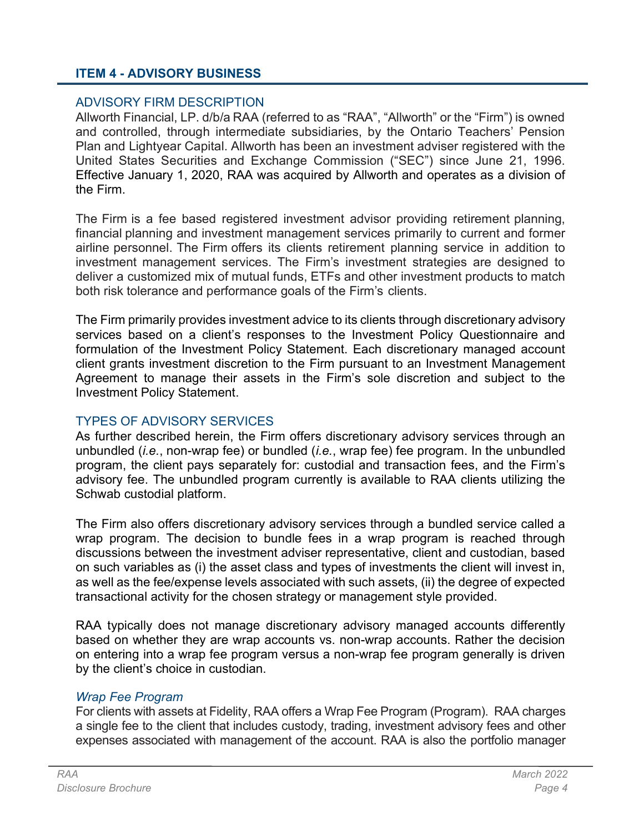## ITEM 4 - ADVISORY BUSINESS

#### ADVISORY FIRM DESCRIPTION

Allworth Financial, LP. d/b/a RAA (referred to as "RAA", "Allworth" or the "Firm") is owned and controlled, through intermediate subsidiaries, by the Ontario Teachers' Pension Plan and Lightyear Capital. Allworth has been an investment adviser registered with the United States Securities and Exchange Commission ("SEC") since June 21, 1996. Effective January 1, 2020, RAA was acquired by Allworth and operates as a division of the Firm.

The Firm is a fee based registered investment advisor providing retirement planning, financial planning and investment management services primarily to current and former airline personnel. The Firm offers its clients retirement planning service in addition to investment management services. The Firm's investment strategies are designed to deliver a customized mix of mutual funds, ETFs and other investment products to match both risk tolerance and performance goals of the Firm's clients.

The Firm primarily provides investment advice to its clients through discretionary advisory services based on a client's responses to the Investment Policy Questionnaire and formulation of the Investment Policy Statement. Each discretionary managed account client grants investment discretion to the Firm pursuant to an Investment Management Agreement to manage their assets in the Firm's sole discretion and subject to the Investment Policy Statement.

#### TYPES OF ADVISORY SERVICES

As further described herein, the Firm offers discretionary advisory services through an unbundled (*i.e.*, non-wrap fee) or bundled (*i.e.*, wrap fee) fee program. In the unbundled program, the client pays separately for: custodial and transaction fees, and the Firm's advisory fee. The unbundled program currently is available to RAA clients utilizing the Schwab custodial platform.

The Firm also offers discretionary advisory services through a bundled service called a wrap program. The decision to bundle fees in a wrap program is reached through discussions between the investment adviser representative, client and custodian, based on such variables as (i) the asset class and types of investments the client will invest in, as well as the fee/expense levels associated with such assets, (ii) the degree of expected transactional activity for the chosen strategy or management style provided.

RAA typically does not manage discretionary advisory managed accounts differently based on whether they are wrap accounts vs. non-wrap accounts. Rather the decision on entering into a wrap fee program versus a non-wrap fee program generally is driven by the client's choice in custodian.

#### Wrap Fee Program

For clients with assets at Fidelity, RAA offers a Wrap Fee Program (Program). RAA charges a single fee to the client that includes custody, trading, investment advisory fees and other expenses associated with management of the account. RAA is also the portfolio manager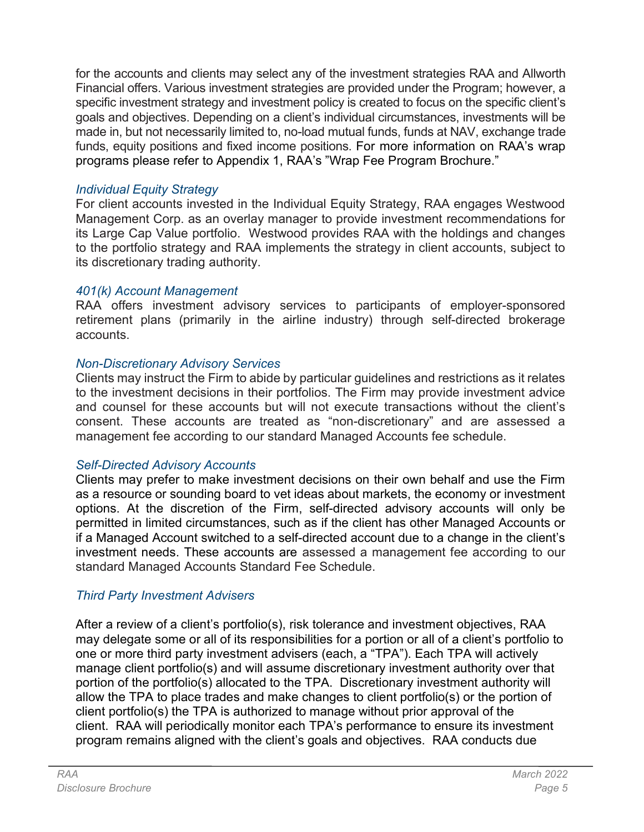for the accounts and clients may select any of the investment strategies RAA and Allworth Financial offers. Various investment strategies are provided under the Program; however, a specific investment strategy and investment policy is created to focus on the specific client's goals and objectives. Depending on a client's individual circumstances, investments will be made in, but not necessarily limited to, no-load mutual funds, funds at NAV, exchange trade funds, equity positions and fixed income positions. For more information on RAA's wrap programs please refer to Appendix 1, RAA's "Wrap Fee Program Brochure."

## Individual Equity Strategy

For client accounts invested in the Individual Equity Strategy, RAA engages Westwood Management Corp. as an overlay manager to provide investment recommendations for its Large Cap Value portfolio. Westwood provides RAA with the holdings and changes to the portfolio strategy and RAA implements the strategy in client accounts, subject to its discretionary trading authority.

### 401(k) Account Management

RAA offers investment advisory services to participants of employer-sponsored retirement plans (primarily in the airline industry) through self-directed brokerage accounts.

## Non-Discretionary Advisory Services

Clients may instruct the Firm to abide by particular guidelines and restrictions as it relates to the investment decisions in their portfolios. The Firm may provide investment advice and counsel for these accounts but will not execute transactions without the client's consent. These accounts are treated as "non-discretionary" and are assessed a management fee according to our standard Managed Accounts fee schedule.

## Self-Directed Advisory Accounts

Clients may prefer to make investment decisions on their own behalf and use the Firm as a resource or sounding board to vet ideas about markets, the economy or investment options. At the discretion of the Firm, self-directed advisory accounts will only be permitted in limited circumstances, such as if the client has other Managed Accounts or if a Managed Account switched to a self-directed account due to a change in the client's investment needs. These accounts are assessed a management fee according to our standard Managed Accounts Standard Fee Schedule.

## Third Party Investment Advisers

After a review of a client's portfolio(s), risk tolerance and investment objectives, RAA may delegate some or all of its responsibilities for a portion or all of a client's portfolio to one or more third party investment advisers (each, a "TPA"). Each TPA will actively manage client portfolio(s) and will assume discretionary investment authority over that portion of the portfolio(s) allocated to the TPA. Discretionary investment authority will allow the TPA to place trades and make changes to client portfolio(s) or the portion of client portfolio(s) the TPA is authorized to manage without prior approval of the client. RAA will periodically monitor each TPA's performance to ensure its investment program remains aligned with the client's goals and objectives. RAA conducts due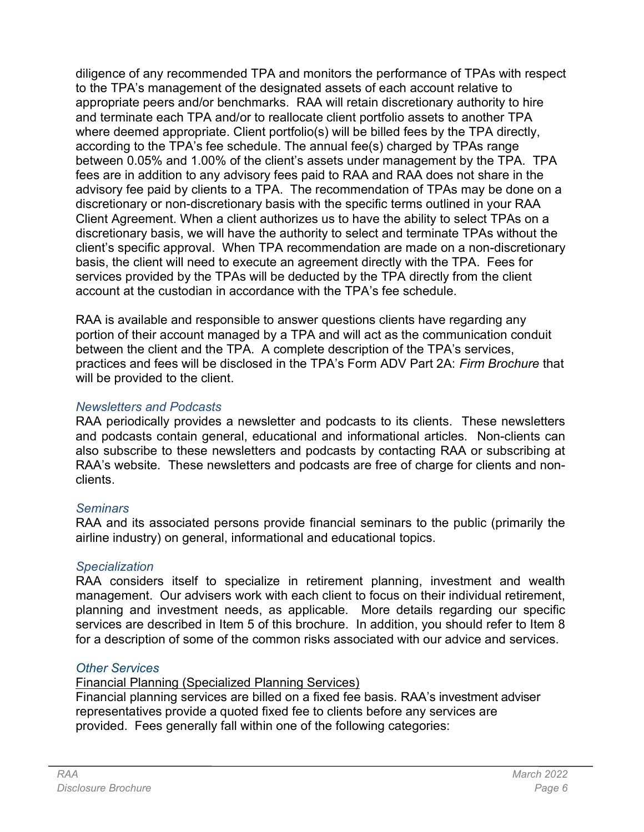diligence of any recommended TPA and monitors the performance of TPAs with respect to the TPA's management of the designated assets of each account relative to appropriate peers and/or benchmarks. RAA will retain discretionary authority to hire and terminate each TPA and/or to reallocate client portfolio assets to another TPA where deemed appropriate. Client portfolio(s) will be billed fees by the TPA directly, according to the TPA's fee schedule. The annual fee(s) charged by TPAs range between 0.05% and 1.00% of the client's assets under management by the TPA. TPA fees are in addition to any advisory fees paid to RAA and RAA does not share in the advisory fee paid by clients to a TPA. The recommendation of TPAs may be done on a discretionary or non-discretionary basis with the specific terms outlined in your RAA Client Agreement. When a client authorizes us to have the ability to select TPAs on a discretionary basis, we will have the authority to select and terminate TPAs without the client's specific approval. When TPA recommendation are made on a non-discretionary basis, the client will need to execute an agreement directly with the TPA. Fees for services provided by the TPAs will be deducted by the TPA directly from the client account at the custodian in accordance with the TPA's fee schedule.

RAA is available and responsible to answer questions clients have regarding any portion of their account managed by a TPA and will act as the communication conduit between the client and the TPA. A complete description of the TPA's services, practices and fees will be disclosed in the TPA's Form ADV Part 2A: Firm Brochure that will be provided to the client.

### Newsletters and Podcasts

RAA periodically provides a newsletter and podcasts to its clients. These newsletters and podcasts contain general, educational and informational articles. Non-clients can also subscribe to these newsletters and podcasts by contacting RAA or subscribing at RAA's website. These newsletters and podcasts are free of charge for clients and nonclients.

## **Seminars**

RAA and its associated persons provide financial seminars to the public (primarily the airline industry) on general, informational and educational topics.

## **Specialization**

RAA considers itself to specialize in retirement planning, investment and wealth management. Our advisers work with each client to focus on their individual retirement, planning and investment needs, as applicable. More details regarding our specific services are described in Item 5 of this brochure. In addition, you should refer to Item 8 for a description of some of the common risks associated with our advice and services.

## Other Services

Financial Planning (Specialized Planning Services)

Financial planning services are billed on a fixed fee basis. RAA's investment adviser representatives provide a quoted fixed fee to clients before any services are provided. Fees generally fall within one of the following categories: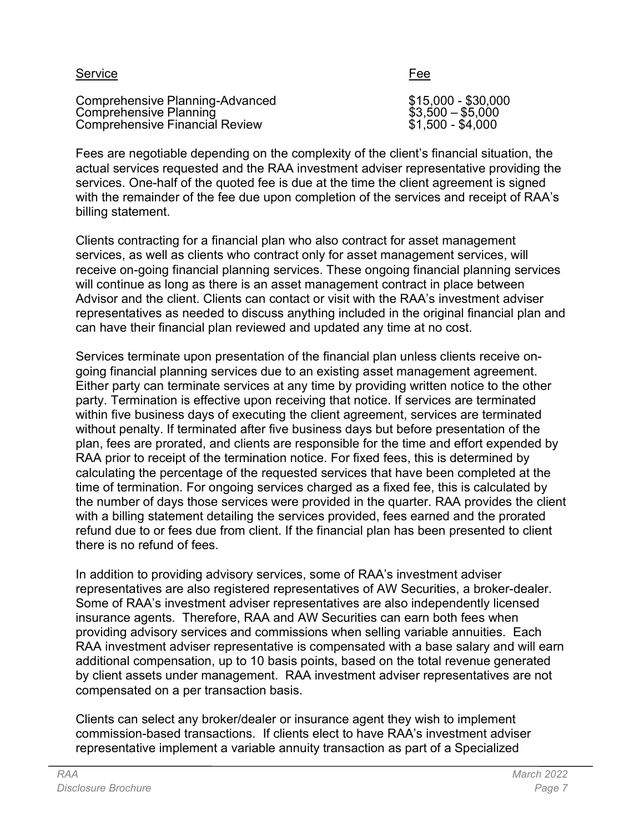| Service                         | Fee                 |
|---------------------------------|---------------------|
| Comprehensive Planning-Advanced | $$15,000 - $30,000$ |
| Comprehensive Planning          | $$3,500 - $5,000$   |
| Comprehensive Financial Review  | $$1,500 - $4,000$   |

Fees are negotiable depending on the complexity of the client's financial situation, the actual services requested and the RAA investment adviser representative providing the services. One-half of the quoted fee is due at the time the client agreement is signed with the remainder of the fee due upon completion of the services and receipt of RAA's billing statement.

Clients contracting for a financial plan who also contract for asset management services, as well as clients who contract only for asset management services, will receive on-going financial planning services. These ongoing financial planning services will continue as long as there is an asset management contract in place between Advisor and the client. Clients can contact or visit with the RAA's investment adviser representatives as needed to discuss anything included in the original financial plan and can have their financial plan reviewed and updated any time at no cost.

Services terminate upon presentation of the financial plan unless clients receive ongoing financial planning services due to an existing asset management agreement. Either party can terminate services at any time by providing written notice to the other party. Termination is effective upon receiving that notice. If services are terminated within five business days of executing the client agreement, services are terminated without penalty. If terminated after five business days but before presentation of the plan, fees are prorated, and clients are responsible for the time and effort expended by RAA prior to receipt of the termination notice. For fixed fees, this is determined by calculating the percentage of the requested services that have been completed at the time of termination. For ongoing services charged as a fixed fee, this is calculated by the number of days those services were provided in the quarter. RAA provides the client with a billing statement detailing the services provided, fees earned and the prorated refund due to or fees due from client. If the financial plan has been presented to client there is no refund of fees.

In addition to providing advisory services, some of RAA's investment adviser representatives are also registered representatives of AW Securities, a broker-dealer. Some of RAA's investment adviser representatives are also independently licensed insurance agents. Therefore, RAA and AW Securities can earn both fees when providing advisory services and commissions when selling variable annuities. Each RAA investment adviser representative is compensated with a base salary and will earn additional compensation, up to 10 basis points, based on the total revenue generated by client assets under management. RAA investment adviser representatives are not compensated on a per transaction basis.

Clients can select any broker/dealer or insurance agent they wish to implement commission-based transactions. If clients elect to have RAA's investment adviser representative implement a variable annuity transaction as part of a Specialized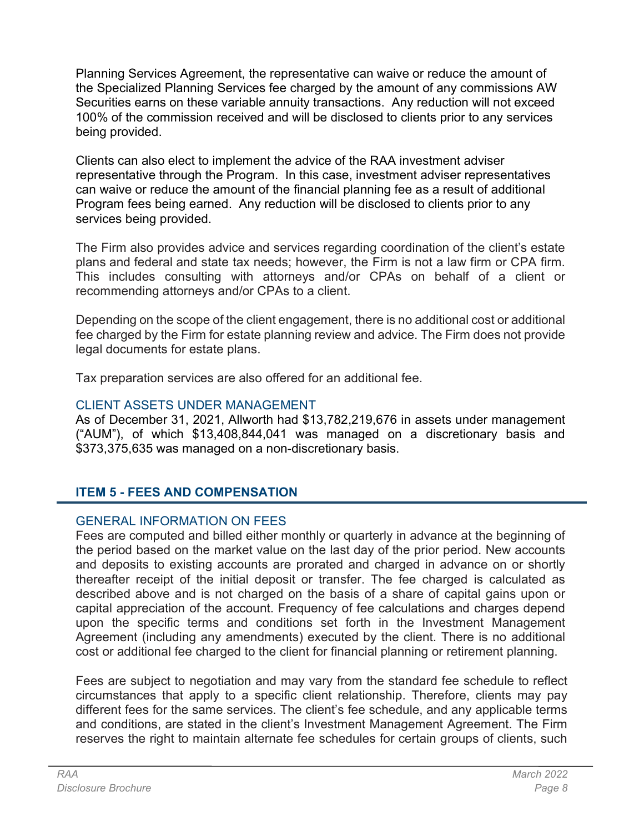Planning Services Agreement, the representative can waive or reduce the amount of the Specialized Planning Services fee charged by the amount of any commissions AW Securities earns on these variable annuity transactions. Any reduction will not exceed 100% of the commission received and will be disclosed to clients prior to any services being provided.

Clients can also elect to implement the advice of the RAA investment adviser representative through the Program. In this case, investment adviser representatives can waive or reduce the amount of the financial planning fee as a result of additional Program fees being earned. Any reduction will be disclosed to clients prior to any services being provided.

The Firm also provides advice and services regarding coordination of the client's estate plans and federal and state tax needs; however, the Firm is not a law firm or CPA firm. This includes consulting with attorneys and/or CPAs on behalf of a client or recommending attorneys and/or CPAs to a client.

Depending on the scope of the client engagement, there is no additional cost or additional fee charged by the Firm for estate planning review and advice. The Firm does not provide legal documents for estate plans.

Tax preparation services are also offered for an additional fee.

## CLIENT ASSETS UNDER MANAGEMENT

As of December 31, 2021, Allworth had \$13,782,219,676 in assets under management ("AUM"), of which \$13,408,844,041 was managed on a discretionary basis and \$373,375,635 was managed on a non-discretionary basis.

# ITEM 5 - FEES AND COMPENSATION

## GENERAL INFORMATION ON FEES

Fees are computed and billed either monthly or quarterly in advance at the beginning of the period based on the market value on the last day of the prior period. New accounts and deposits to existing accounts are prorated and charged in advance on or shortly thereafter receipt of the initial deposit or transfer. The fee charged is calculated as described above and is not charged on the basis of a share of capital gains upon or capital appreciation of the account. Frequency of fee calculations and charges depend upon the specific terms and conditions set forth in the Investment Management Agreement (including any amendments) executed by the client. There is no additional cost or additional fee charged to the client for financial planning or retirement planning.

Fees are subject to negotiation and may vary from the standard fee schedule to reflect circumstances that apply to a specific client relationship. Therefore, clients may pay different fees for the same services. The client's fee schedule, and any applicable terms and conditions, are stated in the client's Investment Management Agreement. The Firm reserves the right to maintain alternate fee schedules for certain groups of clients, such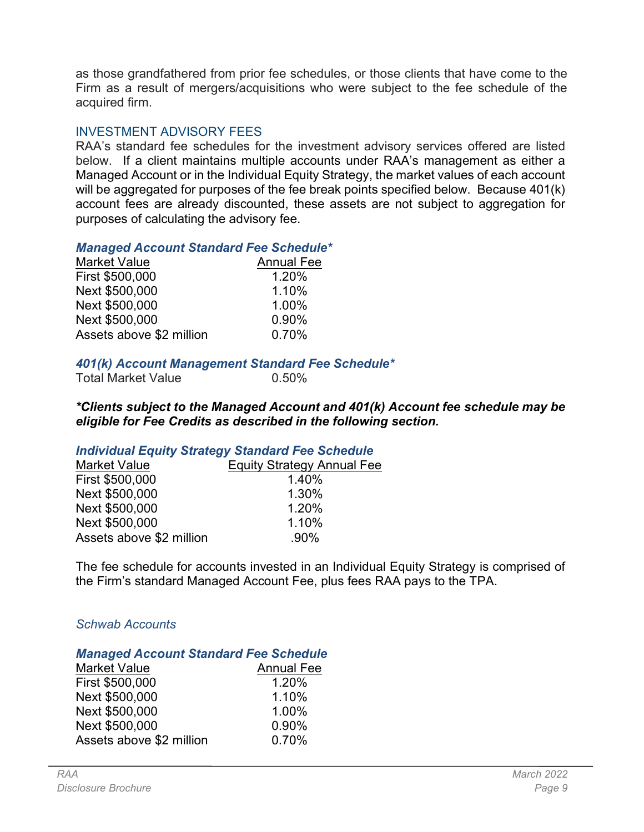as those grandfathered from prior fee schedules, or those clients that have come to the Firm as a result of mergers/acquisitions who were subject to the fee schedule of the acquired firm.

### INVESTMENT ADVISORY FEES

RAA's standard fee schedules for the investment advisory services offered are listed below. If a client maintains multiple accounts under RAA's management as either a Managed Account or in the Individual Equity Strategy, the market values of each account will be aggregated for purposes of the fee break points specified below. Because 401(k) account fees are already discounted, these assets are not subject to aggregation for purposes of calculating the advisory fee.

#### Managed Account Standard Fee Schedule\*

| <b>Market Value</b>      | <b>Annual Fee</b> |
|--------------------------|-------------------|
| First \$500,000          | 1.20%             |
| Next \$500,000           | 1.10%             |
| Next \$500,000           | 1.00%             |
| Next \$500,000           | 0.90%             |
| Assets above \$2 million | 0.70%             |

#### 401(k) Account Management Standard Fee Schedule\*

| <b>Total Market Value</b> | $0.50\%$ |
|---------------------------|----------|

\*Clients subject to the Managed Account and 401(k) Account fee schedule may be eligible for Fee Credits as described in the following section.

#### Individual Equity Strategy Standard Fee Schedule

| <b>Market Value</b>      | <b>Equity Strategy Annual Fee</b> |
|--------------------------|-----------------------------------|
| First \$500,000          | 1.40%                             |
| Next \$500,000           | 1.30%                             |
| Next \$500,000           | 1.20%                             |
| Next \$500,000           | 1.10%                             |
| Assets above \$2 million | $.90\%$                           |

The fee schedule for accounts invested in an Individual Equity Strategy is comprised of the Firm's standard Managed Account Fee, plus fees RAA pays to the TPA.

### Schwab Accounts

#### Managed Account Standard Fee Schedule

| <b>Market Value</b>      | <b>Annual Fee</b> |
|--------------------------|-------------------|
| First \$500,000          | 1.20%             |
| Next \$500,000           | 1.10%             |
| Next \$500,000           | 1.00%             |
| Next \$500,000           | 0.90%             |
| Assets above \$2 million | 0.70%             |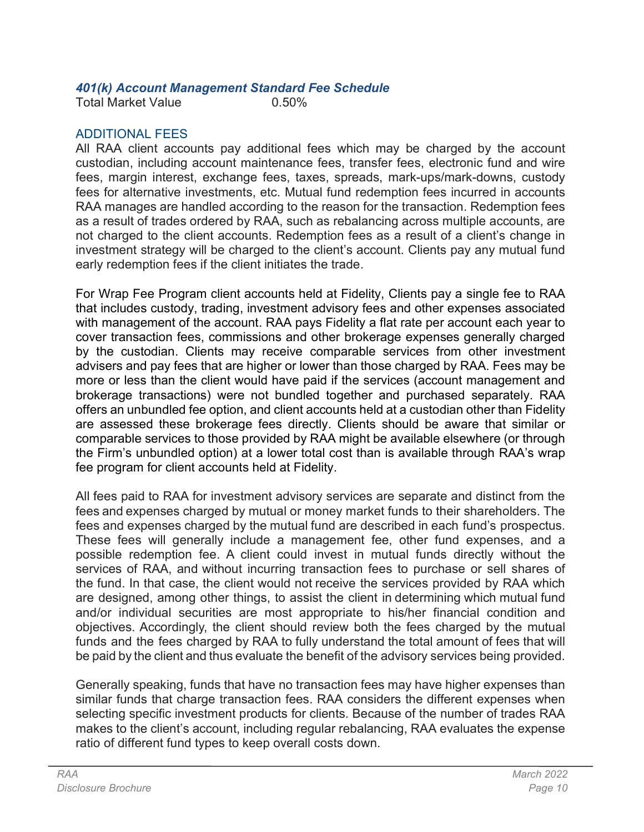### 401(k) Account Management Standard Fee Schedule

Total Market Value 0.50%

## ADDITIONAL FEES

All RAA client accounts pay additional fees which may be charged by the account custodian, including account maintenance fees, transfer fees, electronic fund and wire fees, margin interest, exchange fees, taxes, spreads, mark-ups/mark-downs, custody fees for alternative investments, etc. Mutual fund redemption fees incurred in accounts RAA manages are handled according to the reason for the transaction. Redemption fees as a result of trades ordered by RAA, such as rebalancing across multiple accounts, are not charged to the client accounts. Redemption fees as a result of a client's change in investment strategy will be charged to the client's account. Clients pay any mutual fund early redemption fees if the client initiates the trade.

For Wrap Fee Program client accounts held at Fidelity, Clients pay a single fee to RAA that includes custody, trading, investment advisory fees and other expenses associated with management of the account. RAA pays Fidelity a flat rate per account each year to cover transaction fees, commissions and other brokerage expenses generally charged by the custodian. Clients may receive comparable services from other investment advisers and pay fees that are higher or lower than those charged by RAA. Fees may be more or less than the client would have paid if the services (account management and brokerage transactions) were not bundled together and purchased separately. RAA offers an unbundled fee option, and client accounts held at a custodian other than Fidelity are assessed these brokerage fees directly. Clients should be aware that similar or comparable services to those provided by RAA might be available elsewhere (or through the Firm's unbundled option) at a lower total cost than is available through RAA's wrap fee program for client accounts held at Fidelity.

All fees paid to RAA for investment advisory services are separate and distinct from the fees and expenses charged by mutual or money market funds to their shareholders. The fees and expenses charged by the mutual fund are described in each fund's prospectus. These fees will generally include a management fee, other fund expenses, and a possible redemption fee. A client could invest in mutual funds directly without the services of RAA, and without incurring transaction fees to purchase or sell shares of the fund. In that case, the client would not receive the services provided by RAA which are designed, among other things, to assist the client in determining which mutual fund and/or individual securities are most appropriate to his/her financial condition and objectives. Accordingly, the client should review both the fees charged by the mutual funds and the fees charged by RAA to fully understand the total amount of fees that will be paid by the client and thus evaluate the benefit of the advisory services being provided.

Generally speaking, funds that have no transaction fees may have higher expenses than similar funds that charge transaction fees. RAA considers the different expenses when selecting specific investment products for clients. Because of the number of trades RAA makes to the client's account, including regular rebalancing, RAA evaluates the expense ratio of different fund types to keep overall costs down.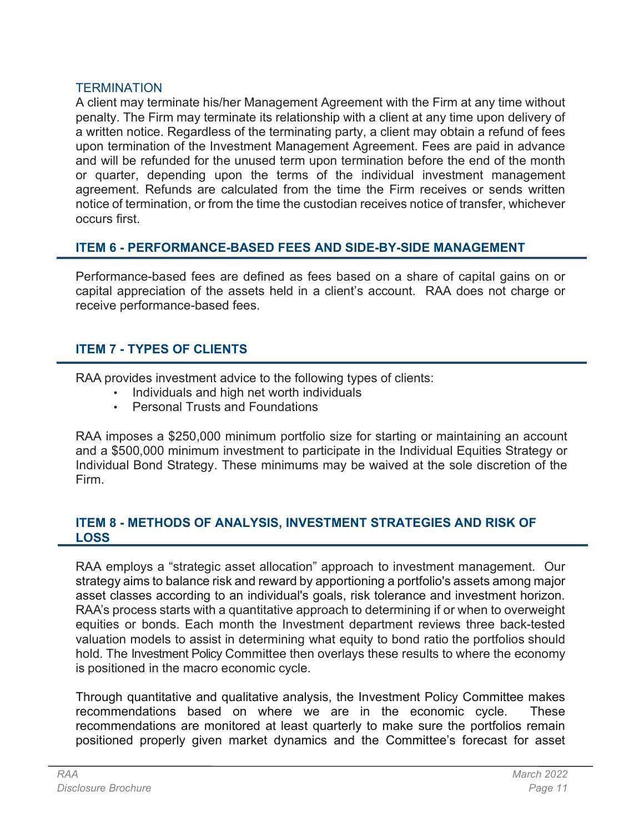#### **TERMINATION**

A client may terminate his/her Management Agreement with the Firm at any time without penalty. The Firm may terminate its relationship with a client at any time upon delivery of a written notice. Regardless of the terminating party, a client may obtain a refund of fees upon termination of the Investment Management Agreement. Fees are paid in advance and will be refunded for the unused term upon termination before the end of the month or quarter, depending upon the terms of the individual investment management agreement. Refunds are calculated from the time the Firm receives or sends written notice of termination, or from the time the custodian receives notice of transfer, whichever occurs first.

### ITEM 6 - PERFORMANCE-BASED FEES AND SIDE-BY-SIDE MANAGEMENT

Performance-based fees are defined as fees based on a share of capital gains on or capital appreciation of the assets held in a client's account. RAA does not charge or receive performance-based fees.

## ITEM 7 - TYPES OF CLIENTS

RAA provides investment advice to the following types of clients:

- Individuals and high net worth individuals
- Personal Trusts and Foundations

RAA imposes a \$250,000 minimum portfolio size for starting or maintaining an account and a \$500,000 minimum investment to participate in the Individual Equities Strategy or Individual Bond Strategy. These minimums may be waived at the sole discretion of the Firm.

### ITEM 8 - METHODS OF ANALYSIS, INVESTMENT STRATEGIES AND RISK OF LOSS

RAA employs a "strategic asset allocation" approach to investment management. Our strategy aims to balance risk and reward by apportioning a portfolio's assets among major asset classes according to an individual's goals, risk tolerance and investment horizon. RAA's process starts with a quantitative approach to determining if or when to overweight equities or bonds. Each month the Investment department reviews three back-tested valuation models to assist in determining what equity to bond ratio the portfolios should hold. The Investment Policy Committee then overlays these results to where the economy is positioned in the macro economic cycle.

Through quantitative and qualitative analysis, the Investment Policy Committee makes recommendations based on where we are in the economic cycle. These recommendations are monitored at least quarterly to make sure the portfolios remain positioned properly given market dynamics and the Committee's forecast for asset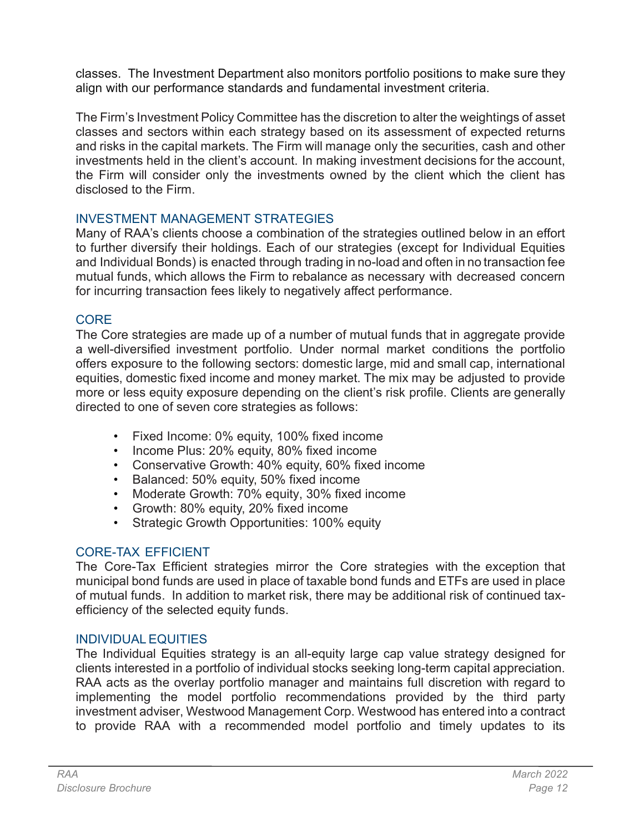classes. The Investment Department also monitors portfolio positions to make sure they align with our performance standards and fundamental investment criteria.

The Firm's Investment Policy Committee has the discretion to alter the weightings of asset classes and sectors within each strategy based on its assessment of expected returns and risks in the capital markets. The Firm will manage only the securities, cash and other investments held in the client's account. In making investment decisions for the account, the Firm will consider only the investments owned by the client which the client has disclosed to the Firm.

## INVESTMENT MANAGEMENT STRATEGIES

Many of RAA's clients choose a combination of the strategies outlined below in an effort to further diversify their holdings. Each of our strategies (except for Individual Equities and Individual Bonds) is enacted through trading in no-load and often in no transaction fee mutual funds, which allows the Firm to rebalance as necessary with decreased concern for incurring transaction fees likely to negatively affect performance.

## **CORE**

The Core strategies are made up of a number of mutual funds that in aggregate provide a well-diversified investment portfolio. Under normal market conditions the portfolio offers exposure to the following sectors: domestic large, mid and small cap, international equities, domestic fixed income and money market. The mix may be adjusted to provide more or less equity exposure depending on the client's risk profile. Clients are generally directed to one of seven core strategies as follows:

- Fixed Income: 0% equity, 100% fixed income
- Income Plus: 20% equity, 80% fixed income
- Conservative Growth: 40% equity, 60% fixed income
- Balanced: 50% equity, 50% fixed income
- Moderate Growth: 70% equity, 30% fixed income
- Growth: 80% equity, 20% fixed income
- Strategic Growth Opportunities: 100% equity

# CORE-TAX EFFICIENT

The Core-Tax Efficient strategies mirror the Core strategies with the exception that municipal bond funds are used in place of taxable bond funds and ETFs are used in place of mutual funds. In addition to market risk, there may be additional risk of continued taxefficiency of the selected equity funds.

## INDIVIDUAL EQUITIES

The Individual Equities strategy is an all-equity large cap value strategy designed for clients interested in a portfolio of individual stocks seeking long-term capital appreciation. RAA acts as the overlay portfolio manager and maintains full discretion with regard to implementing the model portfolio recommendations provided by the third party investment adviser, Westwood Management Corp. Westwood has entered into a contract to provide RAA with a recommended model portfolio and timely updates to its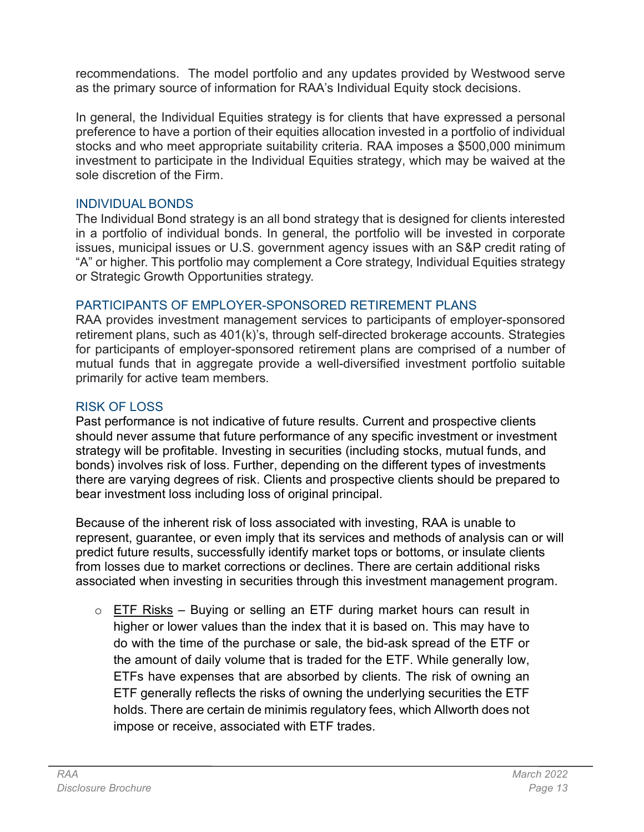recommendations. The model portfolio and any updates provided by Westwood serve as the primary source of information for RAA's Individual Equity stock decisions.

In general, the Individual Equities strategy is for clients that have expressed a personal preference to have a portion of their equities allocation invested in a portfolio of individual stocks and who meet appropriate suitability criteria. RAA imposes a \$500,000 minimum investment to participate in the Individual Equities strategy, which may be waived at the sole discretion of the Firm.

### INDIVIDUAL BONDS

The Individual Bond strategy is an all bond strategy that is designed for clients interested in a portfolio of individual bonds. In general, the portfolio will be invested in corporate issues, municipal issues or U.S. government agency issues with an S&P credit rating of "A" or higher. This portfolio may complement a Core strategy, Individual Equities strategy or Strategic Growth Opportunities strategy.

## PARTICIPANTS OF EMPLOYER-SPONSORED RETIREMENT PLANS

RAA provides investment management services to participants of employer-sponsored retirement plans, such as 401(k)'s, through self-directed brokerage accounts. Strategies for participants of employer-sponsored retirement plans are comprised of a number of mutual funds that in aggregate provide a well-diversified investment portfolio suitable primarily for active team members.

# RISK OF LOSS

Past performance is not indicative of future results. Current and prospective clients should never assume that future performance of any specific investment or investment strategy will be profitable. Investing in securities (including stocks, mutual funds, and bonds) involves risk of loss. Further, depending on the different types of investments there are varying degrees of risk. Clients and prospective clients should be prepared to bear investment loss including loss of original principal.

Because of the inherent risk of loss associated with investing, RAA is unable to represent, guarantee, or even imply that its services and methods of analysis can or will predict future results, successfully identify market tops or bottoms, or insulate clients from losses due to market corrections or declines. There are certain additional risks associated when investing in securities through this investment management program.

 $\circ$  ETF Risks – Buying or selling an ETF during market hours can result in higher or lower values than the index that it is based on. This may have to do with the time of the purchase or sale, the bid-ask spread of the ETF or the amount of daily volume that is traded for the ETF. While generally low, ETFs have expenses that are absorbed by clients. The risk of owning an ETF generally reflects the risks of owning the underlying securities the ETF holds. There are certain de minimis regulatory fees, which Allworth does not impose or receive, associated with ETF trades.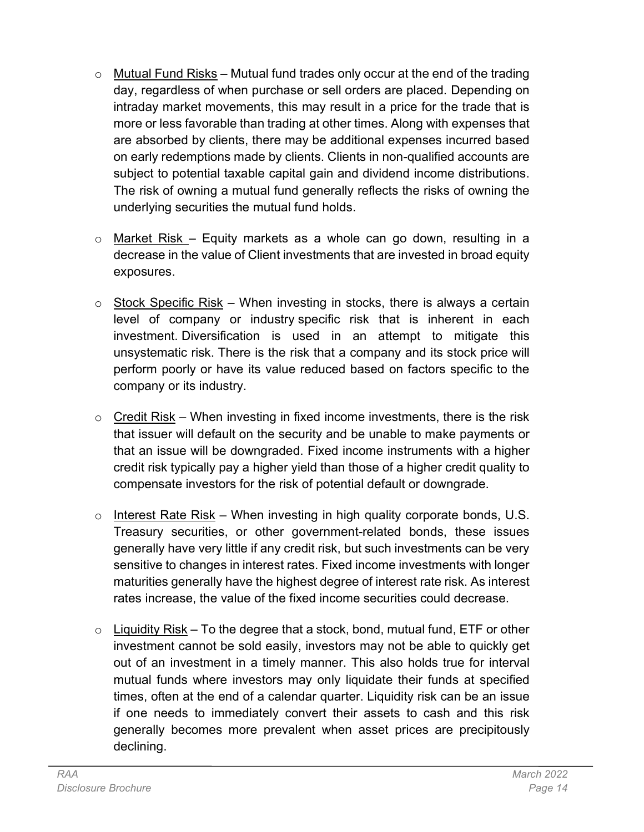- $\circ$  Mutual Fund Risks Mutual fund trades only occur at the end of the trading day, regardless of when purchase or sell orders are placed. Depending on intraday market movements, this may result in a price for the trade that is more or less favorable than trading at other times. Along with expenses that are absorbed by clients, there may be additional expenses incurred based on early redemptions made by clients. Clients in non-qualified accounts are subject to potential taxable capital gain and dividend income distributions. The risk of owning a mutual fund generally reflects the risks of owning the underlying securities the mutual fund holds.
- $\circ$  Market Risk Equity markets as a whole can go down, resulting in a decrease in the value of Client investments that are invested in broad equity exposures.
- $\circ$  Stock Specific Risk When investing in stocks, there is always a certain level of company or industry specific risk that is inherent in each investment. Diversification is used in an attempt to mitigate this unsystematic risk. There is the risk that a company and its stock price will perform poorly or have its value reduced based on factors specific to the company or its industry.
- $\circ$  Credit Risk When investing in fixed income investments, there is the risk that issuer will default on the security and be unable to make payments or that an issue will be downgraded. Fixed income instruments with a higher credit risk typically pay a higher yield than those of a higher credit quality to compensate investors for the risk of potential default or downgrade.
- $\circ$  Interest Rate Risk When investing in high quality corporate bonds, U.S. Treasury securities, or other government-related bonds, these issues generally have very little if any credit risk, but such investments can be very sensitive to changes in interest rates. Fixed income investments with longer maturities generally have the highest degree of interest rate risk. As interest rates increase, the value of the fixed income securities could decrease.
- $\circ$  Liquidity Risk To the degree that a stock, bond, mutual fund, ETF or other investment cannot be sold easily, investors may not be able to quickly get out of an investment in a timely manner. This also holds true for interval mutual funds where investors may only liquidate their funds at specified times, often at the end of a calendar quarter. Liquidity risk can be an issue if one needs to immediately convert their assets to cash and this risk generally becomes more prevalent when asset prices are precipitously declining.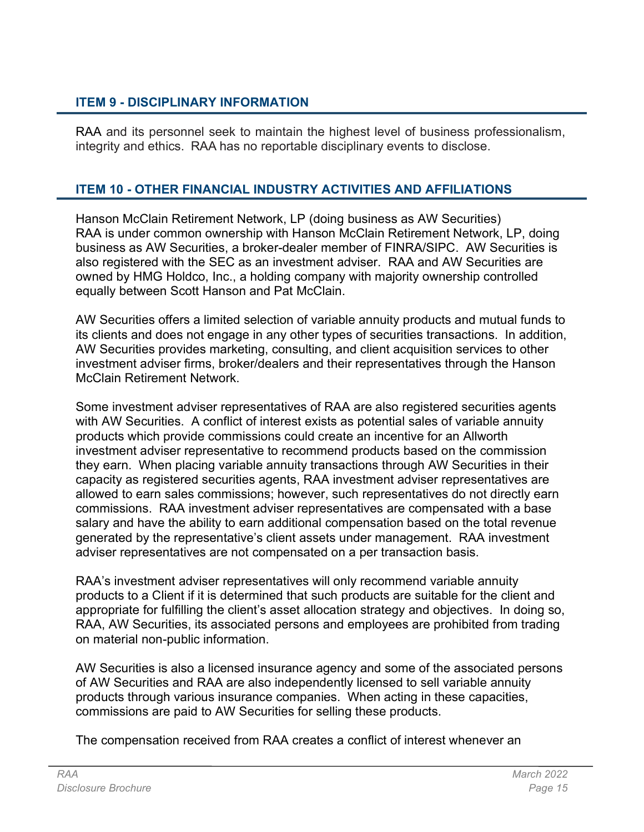### ITEM 9 - DISCIPLINARY INFORMATION

RAA and its personnel seek to maintain the highest level of business professionalism, integrity and ethics. RAA has no reportable disciplinary events to disclose.

### ITEM 10 - OTHER FINANCIAL INDUSTRY ACTIVITIES AND AFFILIATIONS

Hanson McClain Retirement Network, LP (doing business as AW Securities) RAA is under common ownership with Hanson McClain Retirement Network, LP, doing business as AW Securities, a broker-dealer member of FINRA/SIPC. AW Securities is also registered with the SEC as an investment adviser. RAA and AW Securities are owned by HMG Holdco, Inc., a holding company with majority ownership controlled equally between Scott Hanson and Pat McClain.

AW Securities offers a limited selection of variable annuity products and mutual funds to its clients and does not engage in any other types of securities transactions. In addition, AW Securities provides marketing, consulting, and client acquisition services to other investment adviser firms, broker/dealers and their representatives through the Hanson McClain Retirement Network.

Some investment adviser representatives of RAA are also registered securities agents with AW Securities. A conflict of interest exists as potential sales of variable annuity products which provide commissions could create an incentive for an Allworth investment adviser representative to recommend products based on the commission they earn. When placing variable annuity transactions through AW Securities in their capacity as registered securities agents, RAA investment adviser representatives are allowed to earn sales commissions; however, such representatives do not directly earn commissions. RAA investment adviser representatives are compensated with a base salary and have the ability to earn additional compensation based on the total revenue generated by the representative's client assets under management. RAA investment adviser representatives are not compensated on a per transaction basis.

RAA's investment adviser representatives will only recommend variable annuity products to a Client if it is determined that such products are suitable for the client and appropriate for fulfilling the client's asset allocation strategy and objectives. In doing so, RAA, AW Securities, its associated persons and employees are prohibited from trading on material non-public information.

AW Securities is also a licensed insurance agency and some of the associated persons of AW Securities and RAA are also independently licensed to sell variable annuity products through various insurance companies. When acting in these capacities, commissions are paid to AW Securities for selling these products.

The compensation received from RAA creates a conflict of interest whenever an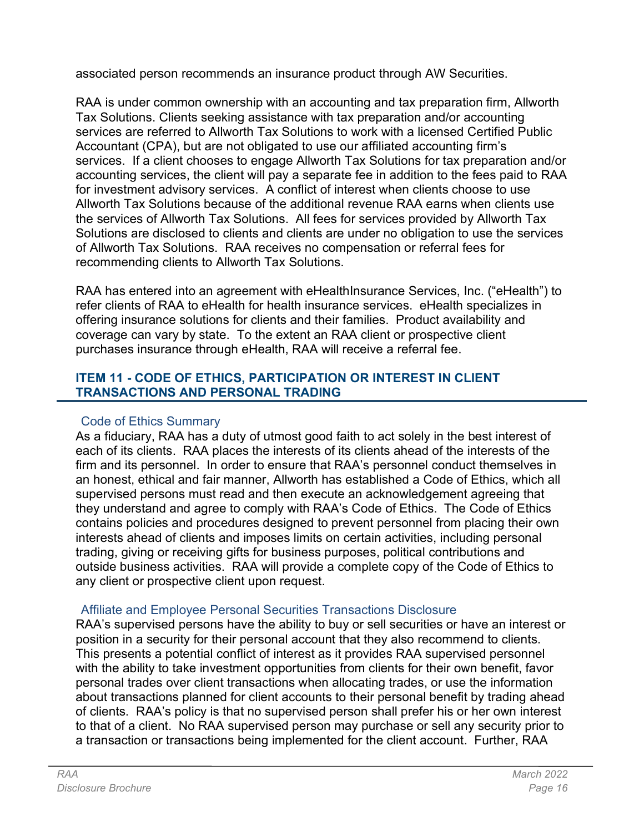associated person recommends an insurance product through AW Securities.

RAA is under common ownership with an accounting and tax preparation firm, Allworth Tax Solutions. Clients seeking assistance with tax preparation and/or accounting services are referred to Allworth Tax Solutions to work with a licensed Certified Public Accountant (CPA), but are not obligated to use our affiliated accounting firm's services. If a client chooses to engage Allworth Tax Solutions for tax preparation and/or accounting services, the client will pay a separate fee in addition to the fees paid to RAA for investment advisory services. A conflict of interest when clients choose to use Allworth Tax Solutions because of the additional revenue RAA earns when clients use the services of Allworth Tax Solutions. All fees for services provided by Allworth Tax Solutions are disclosed to clients and clients are under no obligation to use the services of Allworth Tax Solutions. RAA receives no compensation or referral fees for recommending clients to Allworth Tax Solutions.

RAA has entered into an agreement with eHealthInsurance Services, Inc. ("eHealth") to refer clients of RAA to eHealth for health insurance services. eHealth specializes in offering insurance solutions for clients and their families. Product availability and coverage can vary by state. To the extent an RAA client or prospective client purchases insurance through eHealth, RAA will receive a referral fee.

### ITEM 11 - CODE OF ETHICS, PARTICIPATION OR INTEREST IN CLIENT TRANSACTIONS AND PERSONAL TRADING

## Code of Ethics Summary

As a fiduciary, RAA has a duty of utmost good faith to act solely in the best interest of each of its clients. RAA places the interests of its clients ahead of the interests of the firm and its personnel. In order to ensure that RAA's personnel conduct themselves in an honest, ethical and fair manner, Allworth has established a Code of Ethics, which all supervised persons must read and then execute an acknowledgement agreeing that they understand and agree to comply with RAA's Code of Ethics. The Code of Ethics contains policies and procedures designed to prevent personnel from placing their own interests ahead of clients and imposes limits on certain activities, including personal trading, giving or receiving gifts for business purposes, political contributions and outside business activities. RAA will provide a complete copy of the Code of Ethics to any client or prospective client upon request.

## Affiliate and Employee Personal Securities Transactions Disclosure

RAA's supervised persons have the ability to buy or sell securities or have an interest or position in a security for their personal account that they also recommend to clients. This presents a potential conflict of interest as it provides RAA supervised personnel with the ability to take investment opportunities from clients for their own benefit, favor personal trades over client transactions when allocating trades, or use the information about transactions planned for client accounts to their personal benefit by trading ahead of clients. RAA's policy is that no supervised person shall prefer his or her own interest to that of a client. No RAA supervised person may purchase or sell any security prior to a transaction or transactions being implemented for the client account. Further, RAA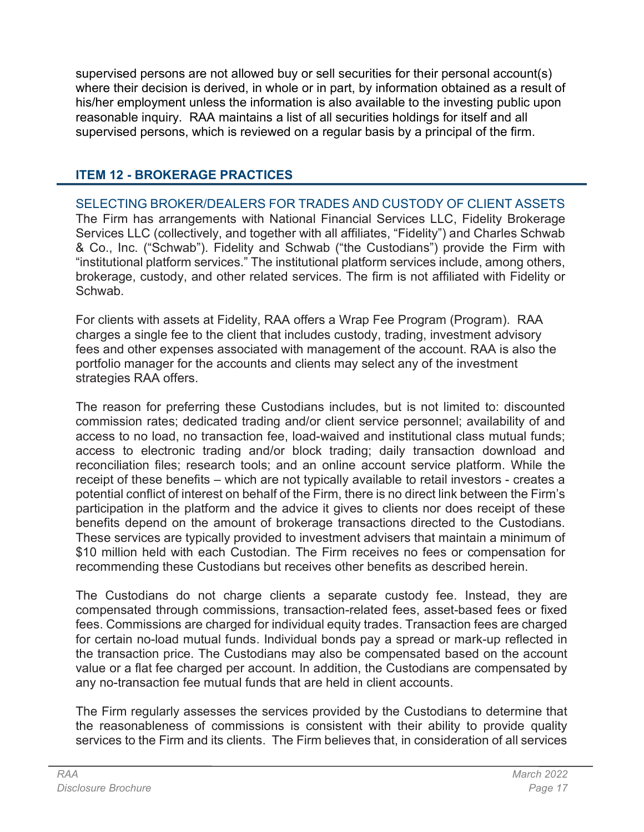supervised persons are not allowed buy or sell securities for their personal account(s) where their decision is derived, in whole or in part, by information obtained as a result of his/her employment unless the information is also available to the investing public upon reasonable inquiry. RAA maintains a list of all securities holdings for itself and all supervised persons, which is reviewed on a regular basis by a principal of the firm.

# ITEM 12 - BROKERAGE PRACTICES

SELECTING BROKER/DEALERS FOR TRADES AND CUSTODY OF CLIENT ASSETS The Firm has arrangements with National Financial Services LLC, Fidelity Brokerage Services LLC (collectively, and together with all affiliates, "Fidelity") and Charles Schwab & Co., Inc. ("Schwab"). Fidelity and Schwab ("the Custodians") provide the Firm with "institutional platform services." The institutional platform services include, among others, brokerage, custody, and other related services. The firm is not affiliated with Fidelity or Schwab.

For clients with assets at Fidelity, RAA offers a Wrap Fee Program (Program). RAA charges a single fee to the client that includes custody, trading, investment advisory fees and other expenses associated with management of the account. RAA is also the portfolio manager for the accounts and clients may select any of the investment strategies RAA offers.

The reason for preferring these Custodians includes, but is not limited to: discounted commission rates; dedicated trading and/or client service personnel; availability of and access to no load, no transaction fee, load-waived and institutional class mutual funds; access to electronic trading and/or block trading; daily transaction download and reconciliation files; research tools; and an online account service platform. While the receipt of these benefits – which are not typically available to retail investors - creates a potential conflict of interest on behalf of the Firm, there is no direct link between the Firm's participation in the platform and the advice it gives to clients nor does receipt of these benefits depend on the amount of brokerage transactions directed to the Custodians. These services are typically provided to investment advisers that maintain a minimum of \$10 million held with each Custodian. The Firm receives no fees or compensation for recommending these Custodians but receives other benefits as described herein.

The Custodians do not charge clients a separate custody fee. Instead, they are compensated through commissions, transaction-related fees, asset-based fees or fixed fees. Commissions are charged for individual equity trades. Transaction fees are charged for certain no-load mutual funds. Individual bonds pay a spread or mark-up reflected in the transaction price. The Custodians may also be compensated based on the account value or a flat fee charged per account. In addition, the Custodians are compensated by any no-transaction fee mutual funds that are held in client accounts.

The Firm regularly assesses the services provided by the Custodians to determine that the reasonableness of commissions is consistent with their ability to provide quality services to the Firm and its clients. The Firm believes that, in consideration of all services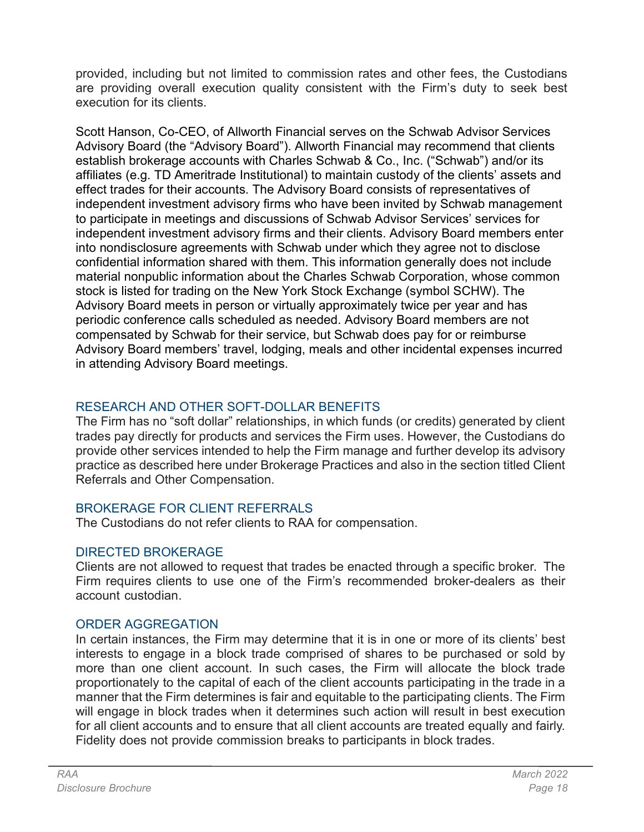provided, including but not limited to commission rates and other fees, the Custodians are providing overall execution quality consistent with the Firm's duty to seek best execution for its clients.

Scott Hanson, Co-CEO, of Allworth Financial serves on the Schwab Advisor Services Advisory Board (the "Advisory Board"). Allworth Financial may recommend that clients establish brokerage accounts with Charles Schwab & Co., Inc. ("Schwab") and/or its affiliates (e.g. TD Ameritrade Institutional) to maintain custody of the clients' assets and effect trades for their accounts. The Advisory Board consists of representatives of independent investment advisory firms who have been invited by Schwab management to participate in meetings and discussions of Schwab Advisor Services' services for independent investment advisory firms and their clients. Advisory Board members enter into nondisclosure agreements with Schwab under which they agree not to disclose confidential information shared with them. This information generally does not include material nonpublic information about the Charles Schwab Corporation, whose common stock is listed for trading on the New York Stock Exchange (symbol SCHW). The Advisory Board meets in person or virtually approximately twice per year and has periodic conference calls scheduled as needed. Advisory Board members are not compensated by Schwab for their service, but Schwab does pay for or reimburse Advisory Board members' travel, lodging, meals and other incidental expenses incurred in attending Advisory Board meetings.

# RESEARCH AND OTHER SOFT-DOLLAR BENEFITS

The Firm has no "soft dollar" relationships, in which funds (or credits) generated by client trades pay directly for products and services the Firm uses. However, the Custodians do provide other services intended to help the Firm manage and further develop its advisory practice as described here under Brokerage Practices and also in the section titled Client Referrals and Other Compensation.

## BROKERAGE FOR CLIENT REFERRALS

The Custodians do not refer clients to RAA for compensation.

# DIRECTED BROKERAGE

Clients are not allowed to request that trades be enacted through a specific broker. The Firm requires clients to use one of the Firm's recommended broker-dealers as their account custodian.

# ORDER AGGREGATION

In certain instances, the Firm may determine that it is in one or more of its clients' best interests to engage in a block trade comprised of shares to be purchased or sold by more than one client account. In such cases, the Firm will allocate the block trade proportionately to the capital of each of the client accounts participating in the trade in a manner that the Firm determines is fair and equitable to the participating clients. The Firm will engage in block trades when it determines such action will result in best execution for all client accounts and to ensure that all client accounts are treated equally and fairly. Fidelity does not provide commission breaks to participants in block trades.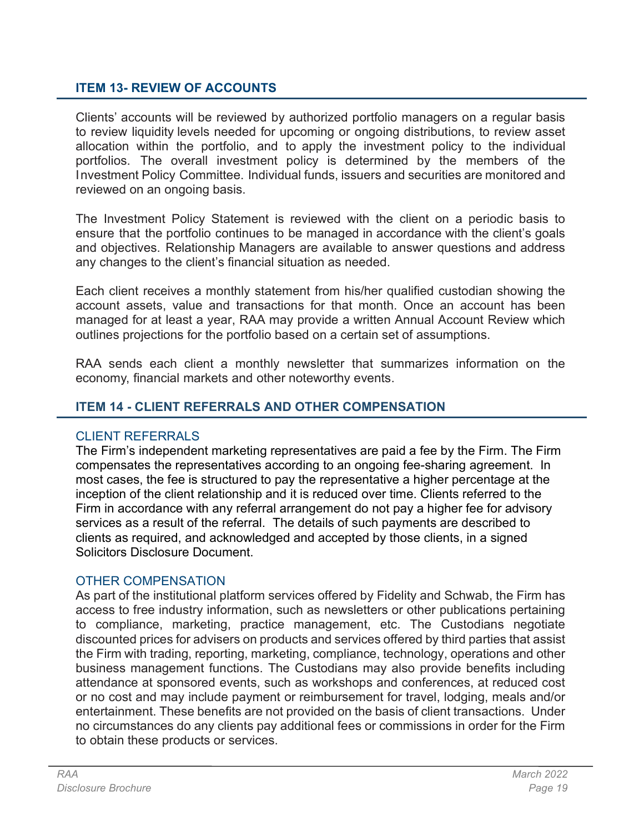### ITEM 13- REVIEW OF ACCOUNTS

Clients' accounts will be reviewed by authorized portfolio managers on a regular basis to review liquidity levels needed for upcoming or ongoing distributions, to review asset allocation within the portfolio, and to apply the investment policy to the individual portfolios. The overall investment policy is determined by the members of the Investment Policy Committee. Individual funds, issuers and securities are monitored and reviewed on an ongoing basis.

The Investment Policy Statement is reviewed with the client on a periodic basis to ensure that the portfolio continues to be managed in accordance with the client's goals and objectives. Relationship Managers are available to answer questions and address any changes to the client's financial situation as needed.

Each client receives a monthly statement from his/her qualified custodian showing the account assets, value and transactions for that month. Once an account has been managed for at least a year, RAA may provide a written Annual Account Review which outlines projections for the portfolio based on a certain set of assumptions.

RAA sends each client a monthly newsletter that summarizes information on the economy, financial markets and other noteworthy events.

### ITEM 14 - CLIENT REFERRALS AND OTHER COMPENSATION

### CLIENT REFERRALS

The Firm's independent marketing representatives are paid a fee by the Firm. The Firm compensates the representatives according to an ongoing fee-sharing agreement. In most cases, the fee is structured to pay the representative a higher percentage at the inception of the client relationship and it is reduced over time. Clients referred to the Firm in accordance with any referral arrangement do not pay a higher fee for advisory services as a result of the referral. The details of such payments are described to clients as required, and acknowledged and accepted by those clients, in a signed Solicitors Disclosure Document.

### OTHER COMPENSATION

As part of the institutional platform services offered by Fidelity and Schwab, the Firm has access to free industry information, such as newsletters or other publications pertaining to compliance, marketing, practice management, etc. The Custodians negotiate discounted prices for advisers on products and services offered by third parties that assist the Firm with trading, reporting, marketing, compliance, technology, operations and other business management functions. The Custodians may also provide benefits including attendance at sponsored events, such as workshops and conferences, at reduced cost or no cost and may include payment or reimbursement for travel, lodging, meals and/or entertainment. These benefits are not provided on the basis of client transactions. Under no circumstances do any clients pay additional fees or commissions in order for the Firm to obtain these products or services.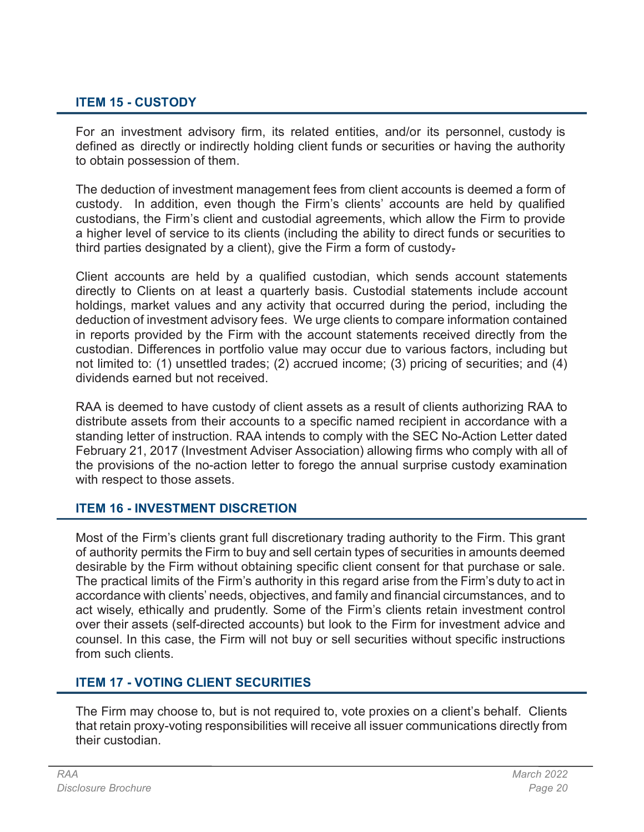## ITEM 15 - CUSTODY

For an investment advisory firm, its related entities, and/or its personnel, custody is defined as directly or indirectly holding client funds or securities or having the authority to obtain possession of them.

The deduction of investment management fees from client accounts is deemed a form of custody. In addition, even though the Firm's clients' accounts are held by qualified custodians, the Firm's client and custodial agreements, which allow the Firm to provide a higher level of service to its clients (including the ability to direct funds or securities to third parties designated by a client), give the Firm a form of custody.

Client accounts are held by a qualified custodian, which sends account statements directly to Clients on at least a quarterly basis. Custodial statements include account holdings, market values and any activity that occurred during the period, including the deduction of investment advisory fees. We urge clients to compare information contained in reports provided by the Firm with the account statements received directly from the custodian. Differences in portfolio value may occur due to various factors, including but not limited to: (1) unsettled trades; (2) accrued income; (3) pricing of securities; and (4) dividends earned but not received.

RAA is deemed to have custody of client assets as a result of clients authorizing RAA to distribute assets from their accounts to a specific named recipient in accordance with a standing letter of instruction. RAA intends to comply with the SEC No-Action Letter dated February 21, 2017 (Investment Adviser Association) allowing firms who comply with all of the provisions of the no-action letter to forego the annual surprise custody examination with respect to those assets.

### ITEM 16 - INVESTMENT DISCRETION

Most of the Firm's clients grant full discretionary trading authority to the Firm. This grant of authority permits the Firm to buy and sell certain types of securities in amounts deemed desirable by the Firm without obtaining specific client consent for that purchase or sale. The practical limits of the Firm's authority in this regard arise from the Firm's duty to act in accordance with clients' needs, objectives, and family and financial circumstances, and to act wisely, ethically and prudently. Some of the Firm's clients retain investment control over their assets (self-directed accounts) but look to the Firm for investment advice and counsel. In this case, the Firm will not buy or sell securities without specific instructions from such clients.

## ITEM 17 - VOTING CLIENT SECURITIES

The Firm may choose to, but is not required to, vote proxies on a client's behalf. Clients that retain proxy-voting responsibilities will receive all issuer communications directly from their custodian.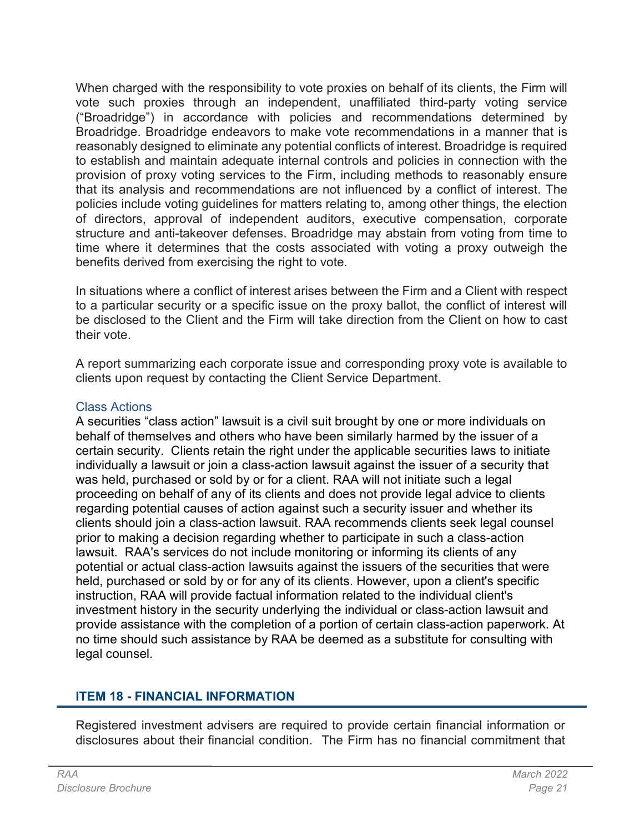When charged with the responsibility to vote proxies on behalf of its clients, the Firm will vote such proxies through an independent, unaffiliated third-party voting service ("Broadridge") in accordance with policies and recommendations determined by Broadridge. Broadridge endeavors to make vote recommendations in a manner that is reasonably designed to eliminate any potential conflicts of interest. Broadridge is required to establish and maintain adequate internal controls and policies in connection with the provision of proxy voting services to the Firm, including methods to reasonably ensure that its analysis and recommendations are not influenced by a conflict of interest. The policies include voting guidelines for matters relating to, among other things, the election of directors, approval of independent auditors, executive compensation, corporate structure and anti-takeover defenses. Broadridge may abstain from voting from time to time where it determines that the costs associated with voting a proxy outweigh the benefits derived from exercising the right to vote.

In situations where a conflict of interest arises between the Firm and a Client with respect to a particular security or a specific issue on the proxy ballot, the conflict of interest will be disclosed to the Client and the Firm will take direction from the Client on how to cast their vote.

A report summarizing each corporate issue and corresponding proxy vote is available to clients upon request by contacting the Client Service Department.

### Class Actions

A securities "class action" lawsuit is a civil suit brought by one or more individuals on behalf of themselves and others who have been similarly harmed by the issuer of a certain security. Clients retain the right under the applicable securities laws to initiate individually a lawsuit or join a class-action lawsuit against the issuer of a security that was held, purchased or sold by or for a client. RAA will not initiate such a legal proceeding on behalf of any of its clients and does not provide legal advice to clients regarding potential causes of action against such a security issuer and whether its clients should join a class-action lawsuit. RAA recommends clients seek legal counsel prior to making a decision regarding whether to participate in such a class-action lawsuit. RAA's services do not include monitoring or informing its clients of any potential or actual class-action lawsuits against the issuers of the securities that were held, purchased or sold by or for any of its clients. However, upon a client's specific instruction, RAA will provide factual information related to the individual client's investment history in the security underlying the individual or class-action lawsuit and provide assistance with the completion of a portion of certain class-action paperwork. At no time should such assistance by RAA be deemed as a substitute for consulting with legal counsel.

## ITEM 18 - FINANCIAL INFORMATION

Registered investment advisers are required to provide certain financial information or disclosures about their financial condition. The Firm has no financial commitment that